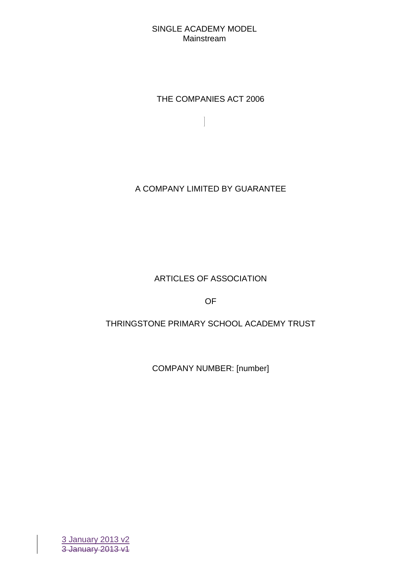THE COMPANIES ACT 2006

 $\begin{array}{c} \end{array}$ 

A COMPANY LIMITED BY GUARANTEE

# ARTICLES OF ASSOCIATION

OF

# THRINGSTONE PRIMARY SCHOOL ACADEMY TRUST

COMPANY NUMBER: [number]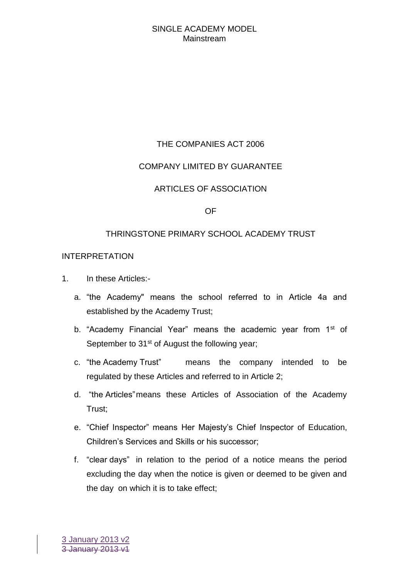# THE COMPANIES ACT 2006

# COMPANY LIMITED BY GUARANTEE

# ARTICLES OF ASSOCIATION

### OF

### THRINGSTONE PRIMARY SCHOOL ACADEMY TRUST

### INTERPRETATION

- 1. In these Articles:
	- a. "the Academy" means the school referred to in Article 4a and established by the Academy Trust;
	- b. "Academy Financial Year" means the academic year from  $1<sup>st</sup>$  of September to 31<sup>st</sup> of August the following year;
	- c. "the Academy Trust" means the company intended to be regulated by these Articles and referred to in Article 2;
	- d. "the Articles"means these Articles of Association of the Academy Trust;
	- e. "Chief Inspector" means Her Majesty's Chief Inspector of Education, Children's Services and Skills or his successor;
	- f. "clear days" in relation to the period of a notice means the period excluding the day when the notice is given or deemed to be given and the day on which it is to take effect;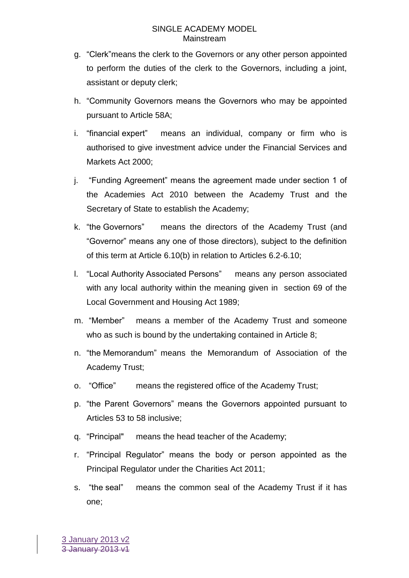- g. "Clerk"means the clerk to the Governors or any other person appointed to perform the duties of the clerk to the Governors, including a joint, assistant or deputy clerk;
- h. "Community Governors means the Governors who may be appointed pursuant to Article 58A;
- i. "financial expert" means an individual, company or firm who is authorised to give investment advice under the Financial Services and Markets Act 2000;
- j. "Funding Agreement" means the agreement made under section 1 of the Academies Act 2010 between the Academy Trust and the Secretary of State to establish the Academy;
- k. "the Governors" means the directors of the Academy Trust (and "Governor" means any one of those directors), subject to the definition of this term at Article 6.10(b) in relation to Articles 6.2-6.10;
- l. "Local Authority Associated Persons" means any person associated with any local authority within the meaning given in section 69 of the Local Government and Housing Act 1989;
- m. "Member" means a member of the Academy Trust and someone who as such is bound by the undertaking contained in Article 8;
- n. "the Memorandum" means the Memorandum of Association of the Academy Trust;
- o. "Office" means the registered office of the Academy Trust;
- p. "the Parent Governors" means the Governors appointed pursuant to Articles 53 to 58 inclusive;
- q. "Principal" means the head teacher of the Academy;
- r. "Principal Regulator" means the body or person appointed as the Principal Regulator under the Charities Act 2011;
- s. "the seal" means the common seal of the Academy Trust if it has one;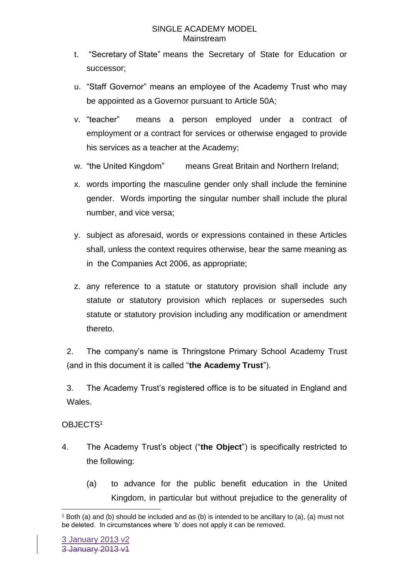- t. "Secretary of State" means the Secretary of State for Education or successor;
- u. "Staff Governor" means an employee of the Academy Trust who may be appointed as a Governor pursuant to Article 50A;
- v. "teacher" means a person employed under a contract of employment or a contract for services or otherwise engaged to provide his services as a teacher at the Academy;
- w. "the United Kingdom" means Great Britain and Northern Ireland;
- x. words importing the masculine gender only shall include the feminine gender. Words importing the singular number shall include the plural number, and vice versa;
- y. subject as aforesaid, words or expressions contained in these Articles shall, unless the context requires otherwise, bear the same meaning as in the Companies Act 2006, as appropriate;
- z. any reference to a statute or statutory provision shall include any statute or statutory provision which replaces or supersedes such statute or statutory provision including any modification or amendment thereto.

2. The company's name is Thringstone Primary School Academy Trust (and in this document it is called "**the Academy Trust**").

3. The Academy Trust's registered office is to be situated in England and Wales.

# OBJECTS<sup>1</sup>

1

- 4. The Academy Trust's object ("**the Object**") is specifically restricted to the following:
	- (a) to advance for the public benefit education in the United Kingdom, in particular but without prejudice to the generality of

<sup>1</sup> Both (a) and (b) should be included and as (b) is intended to be ancillary to (a), (a) must not be deleted. In circumstances where 'b' does not apply it can be removed.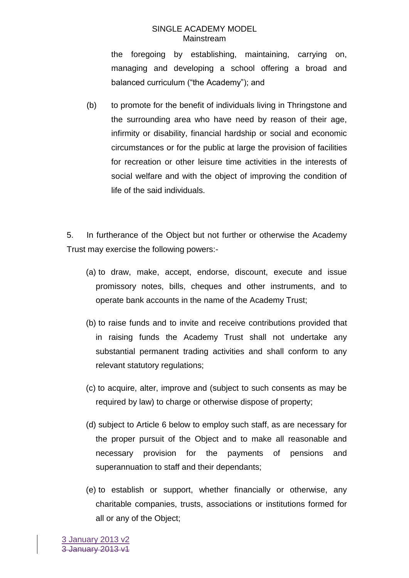the foregoing by establishing, maintaining, carrying on, managing and developing a school offering a broad and balanced curriculum ("the Academy"); and

(b) to promote for the benefit of individuals living in Thringstone and the surrounding area who have need by reason of their age, infirmity or disability, financial hardship or social and economic circumstances or for the public at large the provision of facilities for recreation or other leisure time activities in the interests of social welfare and with the object of improving the condition of life of the said individuals.

5. In furtherance of the Object but not further or otherwise the Academy Trust may exercise the following powers:-

- (a) to draw, make, accept, endorse, discount, execute and issue promissory notes, bills, cheques and other instruments, and to operate bank accounts in the name of the Academy Trust;
- (b) to raise funds and to invite and receive contributions provided that in raising funds the Academy Trust shall not undertake any substantial permanent trading activities and shall conform to any relevant statutory regulations;
- (c) to acquire, alter, improve and (subject to such consents as may be required by law) to charge or otherwise dispose of property;
- (d) subject to Article 6 below to employ such staff, as are necessary for the proper pursuit of the Object and to make all reasonable and necessary provision for the payments of pensions and superannuation to staff and their dependants;
- (e) to establish or support, whether financially or otherwise, any charitable companies, trusts, associations or institutions formed for all or any of the Object;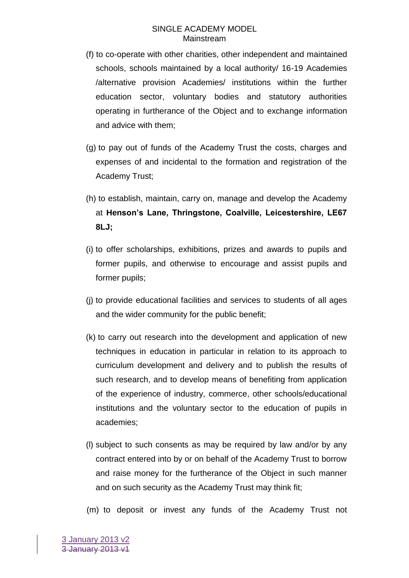- (f) to co-operate with other charities, other independent and maintained schools, schools maintained by a local authority/ 16-19 Academies /alternative provision Academies/ institutions within the further education sector, voluntary bodies and statutory authorities operating in furtherance of the Object and to exchange information and advice with them;
- (g) to pay out of funds of the Academy Trust the costs, charges and expenses of and incidental to the formation and registration of the Academy Trust;
- (h) to establish, maintain, carry on, manage and develop the Academy at **Henson's Lane, Thringstone, Coalville, Leicestershire, LE67 8LJ;**
- (i) to offer scholarships, exhibitions, prizes and awards to pupils and former pupils, and otherwise to encourage and assist pupils and former pupils;
- (j) to provide educational facilities and services to students of all ages and the wider community for the public benefit;
- (k) to carry out research into the development and application of new techniques in education in particular in relation to its approach to curriculum development and delivery and to publish the results of such research, and to develop means of benefiting from application of the experience of industry, commerce, other schools/educational institutions and the voluntary sector to the education of pupils in academies;
- (l) subject to such consents as may be required by law and/or by any contract entered into by or on behalf of the Academy Trust to borrow and raise money for the furtherance of the Object in such manner and on such security as the Academy Trust may think fit;
- (m) to deposit or invest any funds of the Academy Trust not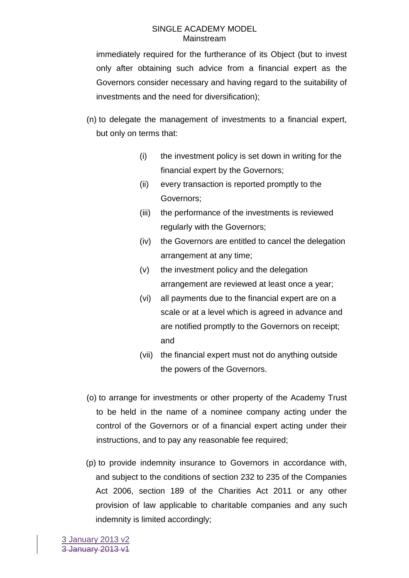immediately required for the furtherance of its Object (but to invest only after obtaining such advice from a financial expert as the Governors consider necessary and having regard to the suitability of investments and the need for diversification);

- (n) to delegate the management of investments to a financial expert, but only on terms that:
	- (i) the investment policy is set down in writing for the financial expert by the Governors;
	- (ii) every transaction is reported promptly to the Governors;
	- (iii) the performance of the investments is reviewed regularly with the Governors;
	- (iv) the Governors are entitled to cancel the delegation arrangement at any time;
	- (v) the investment policy and the delegation arrangement are reviewed at least once a year;
	- (vi) all payments due to the financial expert are on a scale or at a level which is agreed in advance and are notified promptly to the Governors on receipt; and
	- (vii) the financial expert must not do anything outside the powers of the Governors.
- (o) to arrange for investments or other property of the Academy Trust to be held in the name of a nominee company acting under the control of the Governors or of a financial expert acting under their instructions, and to pay any reasonable fee required;
- (p) to provide indemnity insurance to Governors in accordance with, and subject to the conditions of section 232 to 235 of the Companies Act 2006, section 189 of the Charities Act 2011 or any other provision of law applicable to charitable companies and any such indemnity is limited accordingly;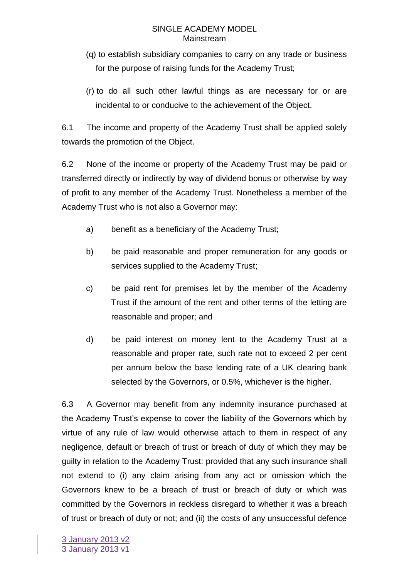- (q) to establish subsidiary companies to carry on any trade or business for the purpose of raising funds for the Academy Trust;
- (r) to do all such other lawful things as are necessary for or are incidental to or conducive to the achievement of the Object.

6.1 The income and property of the Academy Trust shall be applied solely towards the promotion of the Object.

6.2 None of the income or property of the Academy Trust may be paid or transferred directly or indirectly by way of dividend bonus or otherwise by way of profit to any member of the Academy Trust. Nonetheless a member of the Academy Trust who is not also a Governor may:

- a) benefit as a beneficiary of the Academy Trust;
- b) be paid reasonable and proper remuneration for any goods or services supplied to the Academy Trust;
- c) be paid rent for premises let by the member of the Academy Trust if the amount of the rent and other terms of the letting are reasonable and proper; and
- d) be paid interest on money lent to the Academy Trust at a reasonable and proper rate, such rate not to exceed 2 per cent per annum below the base lending rate of a UK clearing bank selected by the Governors, or 0.5%, whichever is the higher.

6.3 A Governor may benefit from any indemnity insurance purchased at the Academy Trust's expense to cover the liability of the Governors which by virtue of any rule of law would otherwise attach to them in respect of any negligence, default or breach of trust or breach of duty of which they may be guilty in relation to the Academy Trust: provided that any such insurance shall not extend to (i) any claim arising from any act or omission which the Governors knew to be a breach of trust or breach of duty or which was committed by the Governors in reckless disregard to whether it was a breach of trust or breach of duty or not; and (ii) the costs of any unsuccessful defence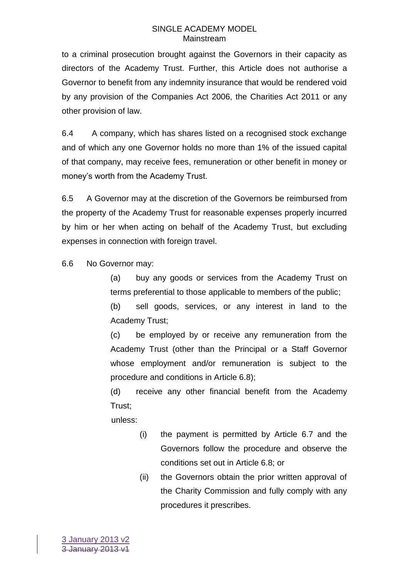to a criminal prosecution brought against the Governors in their capacity as directors of the Academy Trust. Further, this Article does not authorise a Governor to benefit from any indemnity insurance that would be rendered void by any provision of the Companies Act 2006, the Charities Act 2011 or any other provision of law.

6.4 A company, which has shares listed on a recognised stock exchange and of which any one Governor holds no more than 1% of the issued capital of that company, may receive fees, remuneration or other benefit in money or money's worth from the Academy Trust.

6.5 A Governor may at the discretion of the Governors be reimbursed from the property of the Academy Trust for reasonable expenses properly incurred by him or her when acting on behalf of the Academy Trust, but excluding expenses in connection with foreign travel.

6.6 No Governor may:

(a) buy any goods or services from the Academy Trust on terms preferential to those applicable to members of the public;

(b) sell goods, services, or any interest in land to the Academy Trust;

(c) be employed by or receive any remuneration from the Academy Trust (other than the Principal or a Staff Governor whose employment and/or remuneration is subject to the procedure and conditions in Article 6.8);

(d) receive any other financial benefit from the Academy Trust;

unless:

- (i) the payment is permitted by Article 6.7 and the Governors follow the procedure and observe the conditions set out in Article 6.8; or
- (ii) the Governors obtain the prior written approval of the Charity Commission and fully comply with any procedures it prescribes.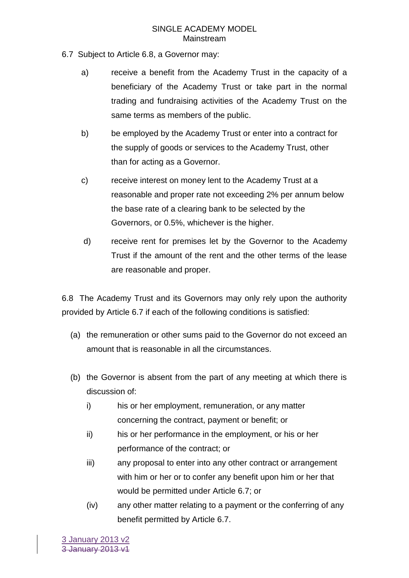- 6.7 Subject to Article 6.8, a Governor may:
	- a) receive a benefit from the Academy Trust in the capacity of a beneficiary of the Academy Trust or take part in the normal trading and fundraising activities of the Academy Trust on the same terms as members of the public.
	- b) be employed by the Academy Trust or enter into a contract for the supply of goods or services to the Academy Trust, other than for acting as a Governor.
	- c) receive interest on money lent to the Academy Trust at a reasonable and proper rate not exceeding 2% per annum below the base rate of a clearing bank to be selected by the Governors, or 0.5%, whichever is the higher.
	- d) receive rent for premises let by the Governor to the Academy Trust if the amount of the rent and the other terms of the lease are reasonable and proper.

6.8 The Academy Trust and its Governors may only rely upon the authority provided by Article 6.7 if each of the following conditions is satisfied:

- (a) the remuneration or other sums paid to the Governor do not exceed an amount that is reasonable in all the circumstances.
- (b) the Governor is absent from the part of any meeting at which there is discussion of:
	- i) his or her employment, remuneration, or any matter concerning the contract, payment or benefit; or
	- ii) his or her performance in the employment, or his or her performance of the contract; or
	- iii) any proposal to enter into any other contract or arrangement with him or her or to confer any benefit upon him or her that would be permitted under Article 6.7; or
	- (iv) any other matter relating to a payment or the conferring of any benefit permitted by Article 6.7.

3 January 2013 v2 3 January 2013 v1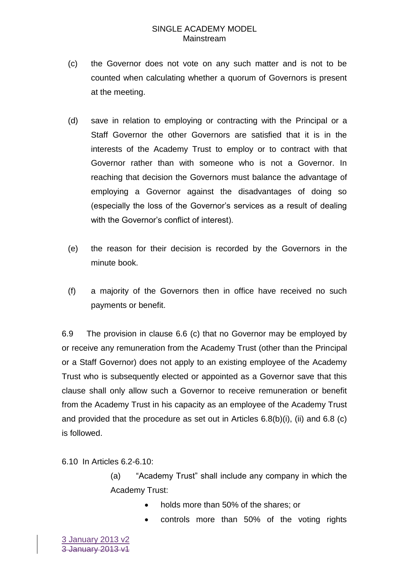- (c) the Governor does not vote on any such matter and is not to be counted when calculating whether a quorum of Governors is present at the meeting.
- (d) save in relation to employing or contracting with the Principal or a Staff Governor the other Governors are satisfied that it is in the interests of the Academy Trust to employ or to contract with that Governor rather than with someone who is not a Governor. In reaching that decision the Governors must balance the advantage of employing a Governor against the disadvantages of doing so (especially the loss of the Governor's services as a result of dealing with the Governor's conflict of interest).
- (e) the reason for their decision is recorded by the Governors in the minute book.
- (f) a majority of the Governors then in office have received no such payments or benefit.

6.9 The provision in clause 6.6 (c) that no Governor may be employed by or receive any remuneration from the Academy Trust (other than the Principal or a Staff Governor) does not apply to an existing employee of the Academy Trust who is subsequently elected or appointed as a Governor save that this clause shall only allow such a Governor to receive remuneration or benefit from the Academy Trust in his capacity as an employee of the Academy Trust and provided that the procedure as set out in Articles 6.8(b)(i), (ii) and 6.8 (c) is followed.

6.10 In Articles 6.2-6.10:

(a) "Academy Trust" shall include any company in which the Academy Trust:

- holds more than 50% of the shares; or
- controls more than 50% of the voting rights

3 January 2013 v2 3 January 2013 v1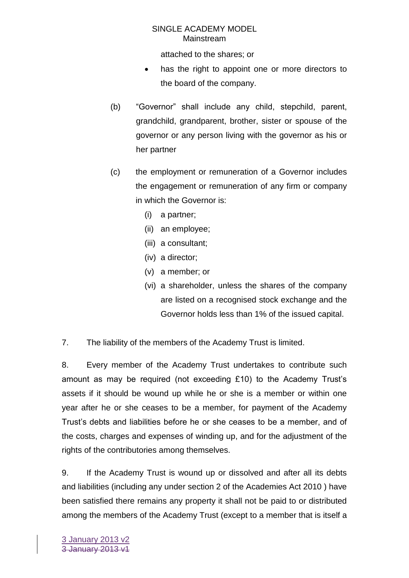attached to the shares; or

- has the right to appoint one or more directors to the board of the company.
- (b) "Governor" shall include any child, stepchild, parent, grandchild, grandparent, brother, sister or spouse of the governor or any person living with the governor as his or her partner
- (c) the employment or remuneration of a Governor includes the engagement or remuneration of any firm or company in which the Governor is:
	- (i) a partner;
	- (ii) an employee;
	- (iii) a consultant;
	- (iv) a director;
	- (v) a member; or
	- (vi) a shareholder, unless the shares of the company are listed on a recognised stock exchange and the Governor holds less than 1% of the issued capital.

7. The liability of the members of the Academy Trust is limited.

8. Every member of the Academy Trust undertakes to contribute such amount as may be required (not exceeding  $£10$ ) to the Academy Trust's assets if it should be wound up while he or she is a member or within one year after he or she ceases to be a member, for payment of the Academy Trust's debts and liabilities before he or she ceases to be a member, and of the costs, charges and expenses of winding up, and for the adjustment of the rights of the contributories among themselves.

9. If the Academy Trust is wound up or dissolved and after all its debts and liabilities (including any under section 2 of the Academies Act 2010 ) have been satisfied there remains any property it shall not be paid to or distributed among the members of the Academy Trust (except to a member that is itself a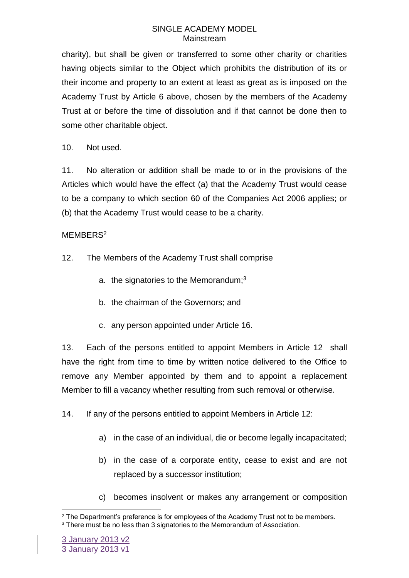charity), but shall be given or transferred to some other charity or charities having objects similar to the Object which prohibits the distribution of its or their income and property to an extent at least as great as is imposed on the Academy Trust by Article 6 above, chosen by the members of the Academy Trust at or before the time of dissolution and if that cannot be done then to some other charitable object.

10. Not used.

11. No alteration or addition shall be made to or in the provisions of the Articles which would have the effect (a) that the Academy Trust would cease to be a company to which section 60 of the Companies Act 2006 applies; or (b) that the Academy Trust would cease to be a charity.

### MEMBERS<sup>2</sup>

- 12. The Members of the Academy Trust shall comprise
	- a. the signatories to the Memorandum;<sup>3</sup>
	- b. the chairman of the Governors; and
	- c. any person appointed under Article 16.

13. Each of the persons entitled to appoint Members in Article 12 shall have the right from time to time by written notice delivered to the Office to remove any Member appointed by them and to appoint a replacement Member to fill a vacancy whether resulting from such removal or otherwise.

14. If any of the persons entitled to appoint Members in Article 12:

- a) in the case of an individual, die or become legally incapacitated;
- b) in the case of a corporate entity, cease to exist and are not replaced by a successor institution;
- c) becomes insolvent or makes any arrangement or composition

<sup>1</sup> <sup>2</sup> The Department's preference is for employees of the Academy Trust not to be members.

<sup>&</sup>lt;sup>3</sup> There must be no less than 3 signatories to the Memorandum of Association.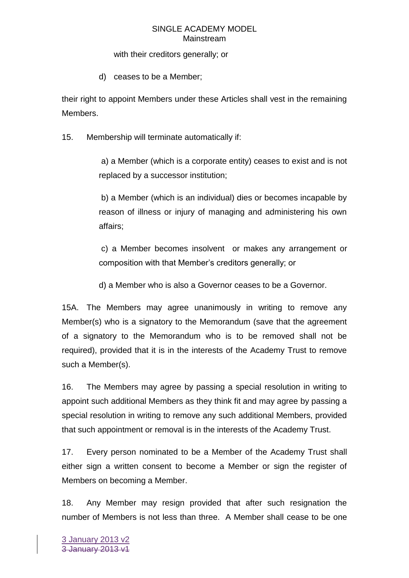### with their creditors generally; or

d) ceases to be a Member;

their right to appoint Members under these Articles shall vest in the remaining Members.

15. Membership will terminate automatically if:

a) a Member (which is a corporate entity) ceases to exist and is not replaced by a successor institution;

b) a Member (which is an individual) dies or becomes incapable by reason of illness or injury of managing and administering his own affairs;

c) a Member becomes insolvent or makes any arrangement or composition with that Member's creditors generally; or

d) a Member who is also a Governor ceases to be a Governor.

15A. The Members may agree unanimously in writing to remove any Member(s) who is a signatory to the Memorandum (save that the agreement of a signatory to the Memorandum who is to be removed shall not be required), provided that it is in the interests of the Academy Trust to remove such a Member(s).

16. The Members may agree by passing a special resolution in writing to appoint such additional Members as they think fit and may agree by passing a special resolution in writing to remove any such additional Members, provided that such appointment or removal is in the interests of the Academy Trust.

17. Every person nominated to be a Member of the Academy Trust shall either sign a written consent to become a Member or sign the register of Members on becoming a Member.

18. Any Member may resign provided that after such resignation the number of Members is not less than three. A Member shall cease to be one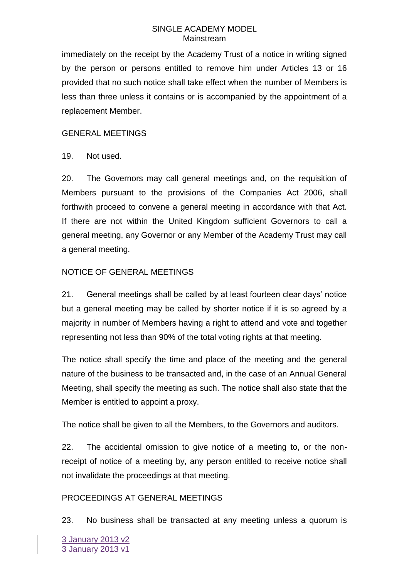immediately on the receipt by the Academy Trust of a notice in writing signed by the person or persons entitled to remove him under Articles 13 or 16 provided that no such notice shall take effect when the number of Members is less than three unless it contains or is accompanied by the appointment of a replacement Member.

### GENERAL MEETINGS

19. Not used.

20. The Governors may call general meetings and, on the requisition of Members pursuant to the provisions of the Companies Act 2006, shall forthwith proceed to convene a general meeting in accordance with that Act. If there are not within the United Kingdom sufficient Governors to call a general meeting, any Governor or any Member of the Academy Trust may call a general meeting.

# NOTICE OF GENERAL MEETINGS

21. General meetings shall be called by at least fourteen clear days' notice but a general meeting may be called by shorter notice if it is so agreed by a majority in number of Members having a right to attend and vote and together representing not less than 90% of the total voting rights at that meeting.

The notice shall specify the time and place of the meeting and the general nature of the business to be transacted and, in the case of an Annual General Meeting, shall specify the meeting as such. The notice shall also state that the Member is entitled to appoint a proxy.

The notice shall be given to all the Members, to the Governors and auditors.

22. The accidental omission to give notice of a meeting to, or the nonreceipt of notice of a meeting by, any person entitled to receive notice shall not invalidate the proceedings at that meeting.

# PROCEEDINGS AT GENERAL MEETINGS

23. No business shall be transacted at any meeting unless a quorum is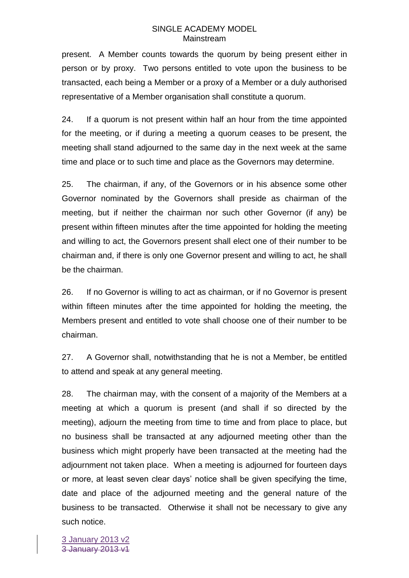present. A Member counts towards the quorum by being present either in person or by proxy. Two persons entitled to vote upon the business to be transacted, each being a Member or a proxy of a Member or a duly authorised representative of a Member organisation shall constitute a quorum.

24. If a quorum is not present within half an hour from the time appointed for the meeting, or if during a meeting a quorum ceases to be present, the meeting shall stand adjourned to the same day in the next week at the same time and place or to such time and place as the Governors may determine.

25. The chairman, if any, of the Governors or in his absence some other Governor nominated by the Governors shall preside as chairman of the meeting, but if neither the chairman nor such other Governor (if any) be present within fifteen minutes after the time appointed for holding the meeting and willing to act, the Governors present shall elect one of their number to be chairman and, if there is only one Governor present and willing to act, he shall be the chairman.

26. If no Governor is willing to act as chairman, or if no Governor is present within fifteen minutes after the time appointed for holding the meeting, the Members present and entitled to vote shall choose one of their number to be chairman.

27. A Governor shall, notwithstanding that he is not a Member, be entitled to attend and speak at any general meeting.

28. The chairman may, with the consent of a majority of the Members at a meeting at which a quorum is present (and shall if so directed by the meeting), adjourn the meeting from time to time and from place to place, but no business shall be transacted at any adjourned meeting other than the business which might properly have been transacted at the meeting had the adjournment not taken place. When a meeting is adjourned for fourteen days or more, at least seven clear days' notice shall be given specifying the time, date and place of the adjourned meeting and the general nature of the business to be transacted. Otherwise it shall not be necessary to give any such notice.

3 January 2013 v2 3 January 2013 v1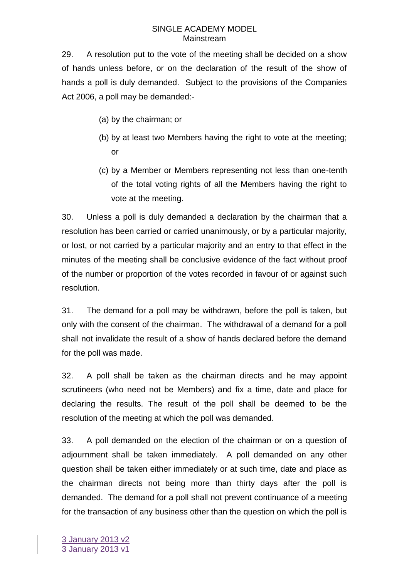29. A resolution put to the vote of the meeting shall be decided on a show of hands unless before, or on the declaration of the result of the show of hands a poll is duly demanded. Subject to the provisions of the Companies Act 2006, a poll may be demanded:-

- (a) by the chairman; or
- (b) by at least two Members having the right to vote at the meeting; or
- (c) by a Member or Members representing not less than one-tenth of the total voting rights of all the Members having the right to vote at the meeting.

30. Unless a poll is duly demanded a declaration by the chairman that a resolution has been carried or carried unanimously, or by a particular majority, or lost, or not carried by a particular majority and an entry to that effect in the minutes of the meeting shall be conclusive evidence of the fact without proof of the number or proportion of the votes recorded in favour of or against such resolution.

31. The demand for a poll may be withdrawn, before the poll is taken, but only with the consent of the chairman. The withdrawal of a demand for a poll shall not invalidate the result of a show of hands declared before the demand for the poll was made.

32. A poll shall be taken as the chairman directs and he may appoint scrutineers (who need not be Members) and fix a time, date and place for declaring the results. The result of the poll shall be deemed to be the resolution of the meeting at which the poll was demanded.

33. A poll demanded on the election of the chairman or on a question of adjournment shall be taken immediately. A poll demanded on any other question shall be taken either immediately or at such time, date and place as the chairman directs not being more than thirty days after the poll is demanded. The demand for a poll shall not prevent continuance of a meeting for the transaction of any business other than the question on which the poll is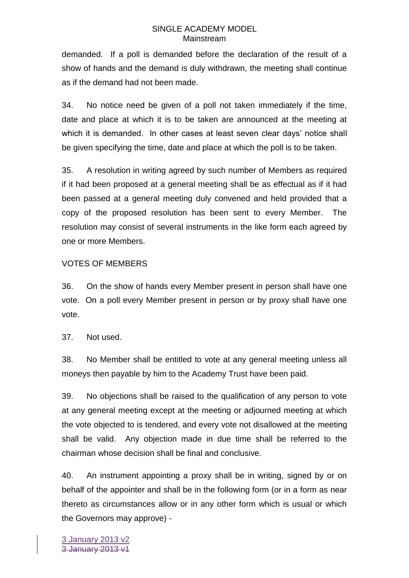demanded. If a poll is demanded before the declaration of the result of a show of hands and the demand is duly withdrawn, the meeting shall continue as if the demand had not been made.

34. No notice need be given of a poll not taken immediately if the time, date and place at which it is to be taken are announced at the meeting at which it is demanded. In other cases at least seven clear days' notice shall be given specifying the time, date and place at which the poll is to be taken.

35. A resolution in writing agreed by such number of Members as required if it had been proposed at a general meeting shall be as effectual as if it had been passed at a general meeting duly convened and held provided that a copy of the proposed resolution has been sent to every Member. The resolution may consist of several instruments in the like form each agreed by one or more Members.

### VOTES OF MEMBERS

36. On the show of hands every Member present in person shall have one vote. On a poll every Member present in person or by proxy shall have one vote.

37. Not used.

38. No Member shall be entitled to vote at any general meeting unless all moneys then payable by him to the Academy Trust have been paid.

39. No objections shall be raised to the qualification of any person to vote at any general meeting except at the meeting or adjourned meeting at which the vote objected to is tendered, and every vote not disallowed at the meeting shall be valid. Any objection made in due time shall be referred to the chairman whose decision shall be final and conclusive.

40. An instrument appointing a proxy shall be in writing, signed by or on behalf of the appointer and shall be in the following form (or in a form as near thereto as circumstances allow or in any other form which is usual or which the Governors may approve) -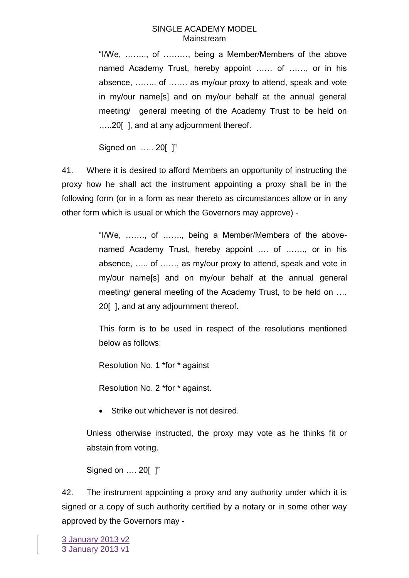"I/We, …….., of ………, being a Member/Members of the above named Academy Trust, hereby appoint …… of ……, or in his absence, …….. of ……. as my/our proxy to attend, speak and vote in my/our name[s] and on my/our behalf at the annual general meeting/ general meeting of the Academy Trust to be held on …..20[ ], and at any adjournment thereof.

Signed on ….. 20[ ]"

41. Where it is desired to afford Members an opportunity of instructing the proxy how he shall act the instrument appointing a proxy shall be in the following form (or in a form as near thereto as circumstances allow or in any other form which is usual or which the Governors may approve) -

> "I/We, ……., of ……., being a Member/Members of the abovenamed Academy Trust, hereby appoint .... of ......., or in his absence, ….. of ……, as my/our proxy to attend, speak and vote in my/our name[s] and on my/our behalf at the annual general meeting/ general meeting of the Academy Trust, to be held on …. 20[ ], and at any adjournment thereof.

> This form is to be used in respect of the resolutions mentioned below as follows:

Resolution No. 1 \*for \* against

Resolution No. 2 \*for \* against.

Strike out whichever is not desired.

Unless otherwise instructed, the proxy may vote as he thinks fit or abstain from voting.

Signed on …. 20[ ]"

42. The instrument appointing a proxy and any authority under which it is signed or a copy of such authority certified by a notary or in some other way approved by the Governors may -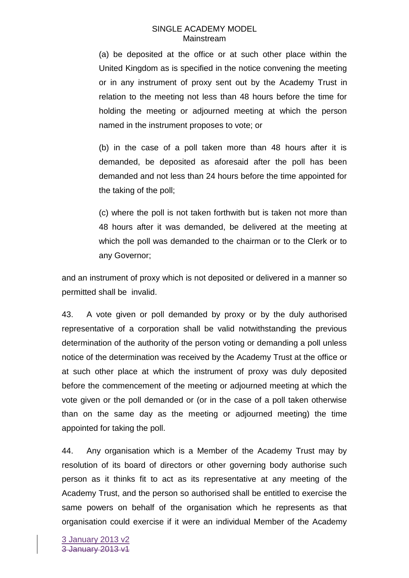(a) be deposited at the office or at such other place within the United Kingdom as is specified in the notice convening the meeting or in any instrument of proxy sent out by the Academy Trust in relation to the meeting not less than 48 hours before the time for holding the meeting or adjourned meeting at which the person named in the instrument proposes to vote; or

(b) in the case of a poll taken more than 48 hours after it is demanded, be deposited as aforesaid after the poll has been demanded and not less than 24 hours before the time appointed for the taking of the poll;

(c) where the poll is not taken forthwith but is taken not more than 48 hours after it was demanded, be delivered at the meeting at which the poll was demanded to the chairman or to the Clerk or to any Governor;

and an instrument of proxy which is not deposited or delivered in a manner so permitted shall be invalid.

43. A vote given or poll demanded by proxy or by the duly authorised representative of a corporation shall be valid notwithstanding the previous determination of the authority of the person voting or demanding a poll unless notice of the determination was received by the Academy Trust at the office or at such other place at which the instrument of proxy was duly deposited before the commencement of the meeting or adjourned meeting at which the vote given or the poll demanded or (or in the case of a poll taken otherwise than on the same day as the meeting or adjourned meeting) the time appointed for taking the poll.

44. Any organisation which is a Member of the Academy Trust may by resolution of its board of directors or other governing body authorise such person as it thinks fit to act as its representative at any meeting of the Academy Trust, and the person so authorised shall be entitled to exercise the same powers on behalf of the organisation which he represents as that organisation could exercise if it were an individual Member of the Academy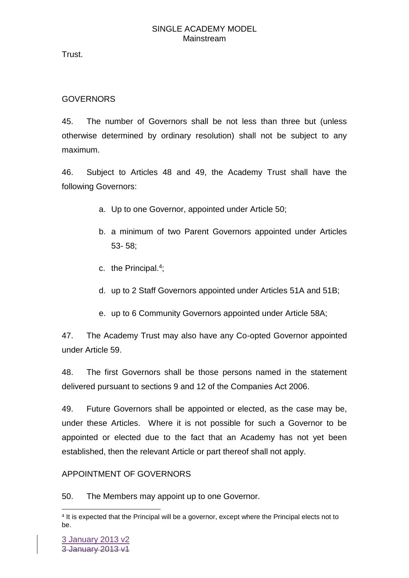Trust.

# **GOVERNORS**

45. The number of Governors shall be not less than three but (unless otherwise determined by ordinary resolution) shall not be subject to any maximum.

46. Subject to Articles 48 and 49, the Academy Trust shall have the following Governors:

- a. Up to one Governor, appointed under Article 50;
- b. a minimum of two Parent Governors appointed under Articles 53- 58;
- c. the Principal.<sup>4</sup>;
- d. up to 2 Staff Governors appointed under Articles 51A and 51B;
- e. up to 6 Community Governors appointed under Article 58A;

47. The Academy Trust may also have any Co-opted Governor appointed under Article 59.

48. The first Governors shall be those persons named in the statement delivered pursuant to sections 9 and 12 of the Companies Act 2006.

49. Future Governors shall be appointed or elected, as the case may be, under these Articles. Where it is not possible for such a Governor to be appointed or elected due to the fact that an Academy has not yet been established, then the relevant Article or part thereof shall not apply.

# APPOINTMENT OF GOVERNORS

50. The Members may appoint up to one Governor.

<sup>1</sup> 4 It is expected that the Principal will be a governor, except where the Principal elects not to be.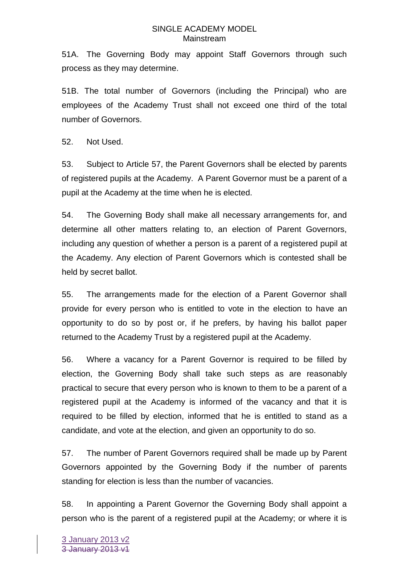51A. The Governing Body may appoint Staff Governors through such process as they may determine.

51B. The total number of Governors (including the Principal) who are employees of the Academy Trust shall not exceed one third of the total number of Governors.

52. Not Used.

53. Subject to Article 57, the Parent Governors shall be elected by parents of registered pupils at the Academy. A Parent Governor must be a parent of a pupil at the Academy at the time when he is elected.

54. The Governing Body shall make all necessary arrangements for, and determine all other matters relating to, an election of Parent Governors, including any question of whether a person is a parent of a registered pupil at the Academy. Any election of Parent Governors which is contested shall be held by secret ballot.

55. The arrangements made for the election of a Parent Governor shall provide for every person who is entitled to vote in the election to have an opportunity to do so by post or, if he prefers, by having his ballot paper returned to the Academy Trust by a registered pupil at the Academy.

56. Where a vacancy for a Parent Governor is required to be filled by election, the Governing Body shall take such steps as are reasonably practical to secure that every person who is known to them to be a parent of a registered pupil at the Academy is informed of the vacancy and that it is required to be filled by election, informed that he is entitled to stand as a candidate, and vote at the election, and given an opportunity to do so.

57. The number of Parent Governors required shall be made up by Parent Governors appointed by the Governing Body if the number of parents standing for election is less than the number of vacancies.

58. In appointing a Parent Governor the Governing Body shall appoint a person who is the parent of a registered pupil at the Academy; or where it is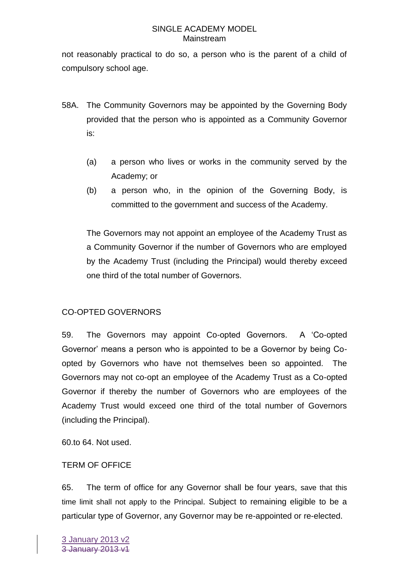not reasonably practical to do so, a person who is the parent of a child of compulsory school age.

- 58A. The Community Governors may be appointed by the Governing Body provided that the person who is appointed as a Community Governor is:
	- (a) a person who lives or works in the community served by the Academy; or
	- (b) a person who, in the opinion of the Governing Body, is committed to the government and success of the Academy.

The Governors may not appoint an employee of the Academy Trust as a Community Governor if the number of Governors who are employed by the Academy Trust (including the Principal) would thereby exceed one third of the total number of Governors.

# CO-OPTED GOVERNORS

59. The Governors may appoint Co-opted Governors. A 'Co-opted Governor' means a person who is appointed to be a Governor by being Coopted by Governors who have not themselves been so appointed. The Governors may not co-opt an employee of the Academy Trust as a Co-opted Governor if thereby the number of Governors who are employees of the Academy Trust would exceed one third of the total number of Governors (including the Principal).

60.to 64. Not used.

# TERM OF OFFICE

65. The term of office for any Governor shall be four years, save that this time limit shall not apply to the Principal. Subject to remaining eligible to be a particular type of Governor, any Governor may be re-appointed or re-elected.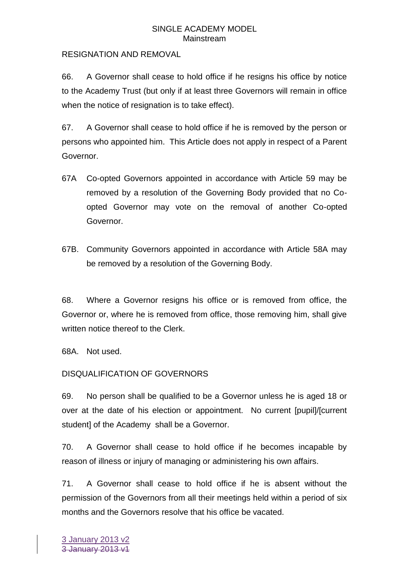### RESIGNATION AND REMOVAL

66. A Governor shall cease to hold office if he resigns his office by notice to the Academy Trust (but only if at least three Governors will remain in office when the notice of resignation is to take effect).

67. A Governor shall cease to hold office if he is removed by the person or persons who appointed him. This Article does not apply in respect of a Parent Governor.

- 67A Co-opted Governors appointed in accordance with Article 59 may be removed by a resolution of the Governing Body provided that no Coopted Governor may vote on the removal of another Co-opted Governor.
- 67B. Community Governors appointed in accordance with Article 58A may be removed by a resolution of the Governing Body.

68. Where a Governor resigns his office or is removed from office, the Governor or, where he is removed from office, those removing him, shall give written notice thereof to the Clerk.

68A. Not used.

# DISQUALIFICATION OF GOVERNORS

69. No person shall be qualified to be a Governor unless he is aged 18 or over at the date of his election or appointment. No current [pupil]/[current student] of the Academy shall be a Governor.

70. A Governor shall cease to hold office if he becomes incapable by reason of illness or injury of managing or administering his own affairs.

71. A Governor shall cease to hold office if he is absent without the permission of the Governors from all their meetings held within a period of six months and the Governors resolve that his office be vacated.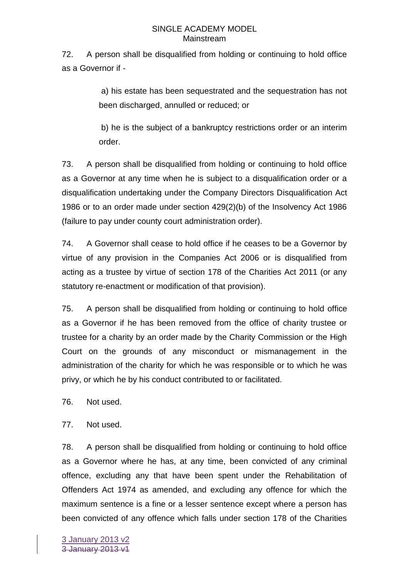72. A person shall be disqualified from holding or continuing to hold office as a Governor if -

> a) his estate has been sequestrated and the sequestration has not been discharged, annulled or reduced; or

> b) he is the subject of a bankruptcy restrictions order or an interim order.

73. A person shall be disqualified from holding or continuing to hold office as a Governor at any time when he is subject to a disqualification order or a disqualification undertaking under the Company Directors Disqualification Act 1986 or to an order made under section 429(2)(b) of the Insolvency Act 1986 (failure to pay under county court administration order).

74. A Governor shall cease to hold office if he ceases to be a Governor by virtue of any provision in the Companies Act 2006 or is disqualified from acting as a trustee by virtue of section 178 of the Charities Act 2011 (or any statutory re-enactment or modification of that provision).

75. A person shall be disqualified from holding or continuing to hold office as a Governor if he has been removed from the office of charity trustee or trustee for a charity by an order made by the Charity Commission or the High Court on the grounds of any misconduct or mismanagement in the administration of the charity for which he was responsible or to which he was privy, or which he by his conduct contributed to or facilitated.

76. Not used.

77. Not used.

78. A person shall be disqualified from holding or continuing to hold office as a Governor where he has, at any time, been convicted of any criminal offence, excluding any that have been spent under the Rehabilitation of Offenders Act 1974 as amended, and excluding any offence for which the maximum sentence is a fine or a lesser sentence except where a person has been convicted of any offence which falls under section 178 of the Charities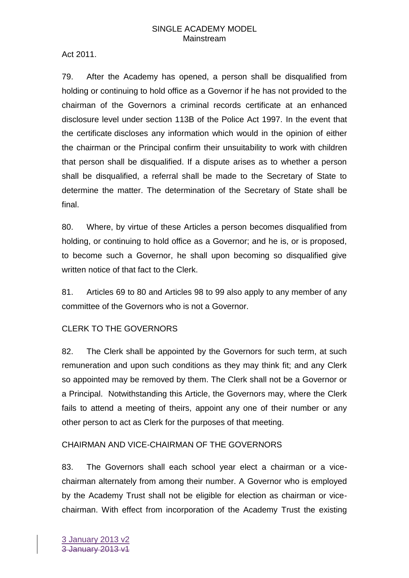Act 2011.

79. After the Academy has opened, a person shall be disqualified from holding or continuing to hold office as a Governor if he has not provided to the chairman of the Governors a criminal records certificate at an enhanced disclosure level under section 113B of the Police Act 1997. In the event that the certificate discloses any information which would in the opinion of either the chairman or the Principal confirm their unsuitability to work with children that person shall be disqualified. If a dispute arises as to whether a person shall be disqualified, a referral shall be made to the Secretary of State to determine the matter. The determination of the Secretary of State shall be final.

80. Where, by virtue of these Articles a person becomes disqualified from holding, or continuing to hold office as a Governor; and he is, or is proposed, to become such a Governor, he shall upon becoming so disqualified give written notice of that fact to the Clerk.

81. Articles 69 to 80 and Articles 98 to 99 also apply to any member of any committee of the Governors who is not a Governor.

# CLERK TO THE GOVERNORS

82. The Clerk shall be appointed by the Governors for such term, at such remuneration and upon such conditions as they may think fit; and any Clerk so appointed may be removed by them. The Clerk shall not be a Governor or a Principal. Notwithstanding this Article, the Governors may, where the Clerk fails to attend a meeting of theirs, appoint any one of their number or any other person to act as Clerk for the purposes of that meeting.

# CHAIRMAN AND VICE-CHAIRMAN OF THE GOVERNORS

83. The Governors shall each school year elect a chairman or a vicechairman alternately from among their number. A Governor who is employed by the Academy Trust shall not be eligible for election as chairman or vicechairman. With effect from incorporation of the Academy Trust the existing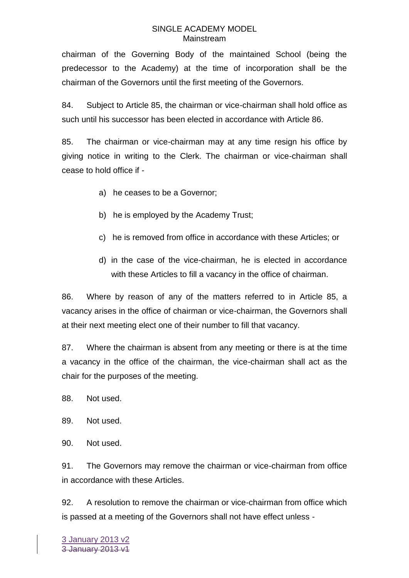chairman of the Governing Body of the maintained School (being the predecessor to the Academy) at the time of incorporation shall be the chairman of the Governors until the first meeting of the Governors.

84. Subject to Article 85, the chairman or vice-chairman shall hold office as such until his successor has been elected in accordance with Article 86.

85. The chairman or vice-chairman may at any time resign his office by giving notice in writing to the Clerk. The chairman or vice-chairman shall cease to hold office if -

- a) he ceases to be a Governor;
- b) he is employed by the Academy Trust;
- c) he is removed from office in accordance with these Articles; or
- d) in the case of the vice-chairman, he is elected in accordance with these Articles to fill a vacancy in the office of chairman.

86. Where by reason of any of the matters referred to in Article 85, a vacancy arises in the office of chairman or vice-chairman, the Governors shall at their next meeting elect one of their number to fill that vacancy.

87. Where the chairman is absent from any meeting or there is at the time a vacancy in the office of the chairman, the vice-chairman shall act as the chair for the purposes of the meeting.

- 88. Not used.
- 89. Not used.
- 90. Not used.

91. The Governors may remove the chairman or vice-chairman from office in accordance with these Articles.

92. A resolution to remove the chairman or vice-chairman from office which is passed at a meeting of the Governors shall not have effect unless -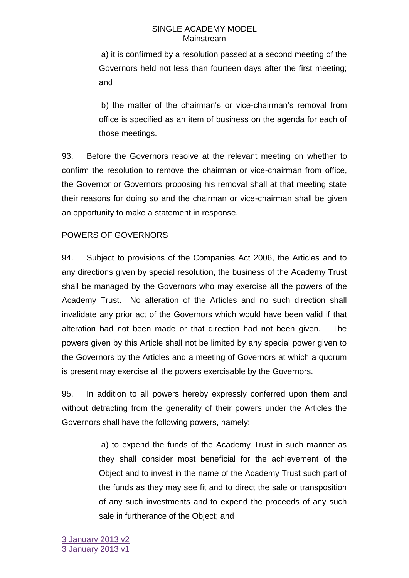a) it is confirmed by a resolution passed at a second meeting of the Governors held not less than fourteen days after the first meeting; and

b) the matter of the chairman's or vice-chairman's removal from office is specified as an item of business on the agenda for each of those meetings.

93. Before the Governors resolve at the relevant meeting on whether to confirm the resolution to remove the chairman or vice-chairman from office, the Governor or Governors proposing his removal shall at that meeting state their reasons for doing so and the chairman or vice-chairman shall be given an opportunity to make a statement in response.

# POWERS OF GOVERNORS

94. Subject to provisions of the Companies Act 2006, the Articles and to any directions given by special resolution, the business of the Academy Trust shall be managed by the Governors who may exercise all the powers of the Academy Trust. No alteration of the Articles and no such direction shall invalidate any prior act of the Governors which would have been valid if that alteration had not been made or that direction had not been given. The powers given by this Article shall not be limited by any special power given to the Governors by the Articles and a meeting of Governors at which a quorum is present may exercise all the powers exercisable by the Governors.

95. In addition to all powers hereby expressly conferred upon them and without detracting from the generality of their powers under the Articles the Governors shall have the following powers, namely:

> a) to expend the funds of the Academy Trust in such manner as they shall consider most beneficial for the achievement of the Object and to invest in the name of the Academy Trust such part of the funds as they may see fit and to direct the sale or transposition of any such investments and to expend the proceeds of any such sale in furtherance of the Object; and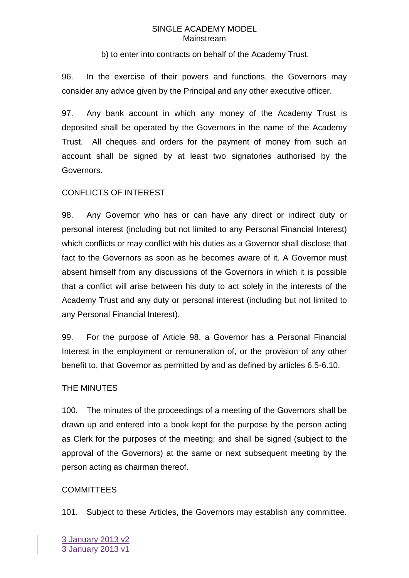b) to enter into contracts on behalf of the Academy Trust.

96. In the exercise of their powers and functions, the Governors may consider any advice given by the Principal and any other executive officer.

97. Any bank account in which any money of the Academy Trust is deposited shall be operated by the Governors in the name of the Academy Trust. All cheques and orders for the payment of money from such an account shall be signed by at least two signatories authorised by the Governors.

### CONFLICTS OF INTEREST

98. Any Governor who has or can have any direct or indirect duty or personal interest (including but not limited to any Personal Financial Interest) which conflicts or may conflict with his duties as a Governor shall disclose that fact to the Governors as soon as he becomes aware of it. A Governor must absent himself from any discussions of the Governors in which it is possible that a conflict will arise between his duty to act solely in the interests of the Academy Trust and any duty or personal interest (including but not limited to any Personal Financial Interest).

99. For the purpose of Article 98, a Governor has a Personal Financial Interest in the employment or remuneration of, or the provision of any other benefit to, that Governor as permitted by and as defined by articles 6.5-6.10.

### THE MINUTES

100. The minutes of the proceedings of a meeting of the Governors shall be drawn up and entered into a book kept for the purpose by the person acting as Clerk for the purposes of the meeting; and shall be signed (subject to the approval of the Governors) at the same or next subsequent meeting by the person acting as chairman thereof.

### **COMMITTEES**

101. Subject to these Articles, the Governors may establish any committee.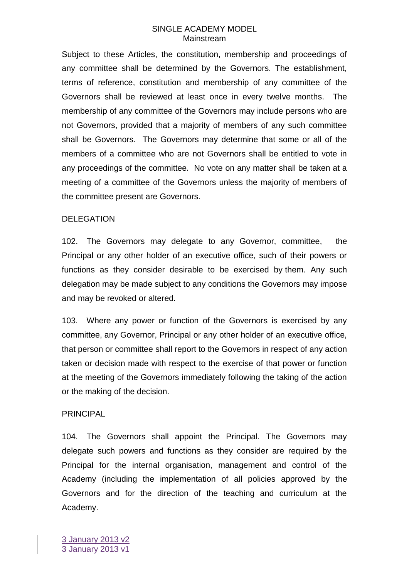Subject to these Articles, the constitution, membership and proceedings of any committee shall be determined by the Governors. The establishment, terms of reference, constitution and membership of any committee of the Governors shall be reviewed at least once in every twelve months. The membership of any committee of the Governors may include persons who are not Governors, provided that a majority of members of any such committee shall be Governors. The Governors may determine that some or all of the members of a committee who are not Governors shall be entitled to vote in any proceedings of the committee. No vote on any matter shall be taken at a meeting of a committee of the Governors unless the majority of members of the committee present are Governors.

### DELEGATION

102. The Governors may delegate to any Governor, committee, the Principal or any other holder of an executive office, such of their powers or functions as they consider desirable to be exercised by them. Any such delegation may be made subject to any conditions the Governors may impose and may be revoked or altered.

103. Where any power or function of the Governors is exercised by any committee, any Governor, Principal or any other holder of an executive office, that person or committee shall report to the Governors in respect of any action taken or decision made with respect to the exercise of that power or function at the meeting of the Governors immediately following the taking of the action or the making of the decision.

#### PRINCIPAL

104. The Governors shall appoint the Principal. The Governors may delegate such powers and functions as they consider are required by the Principal for the internal organisation, management and control of the Academy (including the implementation of all policies approved by the Governors and for the direction of the teaching and curriculum at the Academy.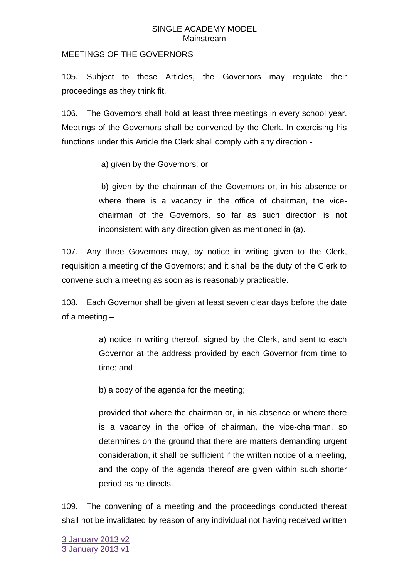### MEETINGS OF THE GOVERNORS

105. Subject to these Articles, the Governors may regulate their proceedings as they think fit.

106. The Governors shall hold at least three meetings in every school year. Meetings of the Governors shall be convened by the Clerk. In exercising his functions under this Article the Clerk shall comply with any direction -

a) given by the Governors; or

b) given by the chairman of the Governors or, in his absence or where there is a vacancy in the office of chairman, the vicechairman of the Governors, so far as such direction is not inconsistent with any direction given as mentioned in (a).

107. Any three Governors may, by notice in writing given to the Clerk, requisition a meeting of the Governors; and it shall be the duty of the Clerk to convene such a meeting as soon as is reasonably practicable.

108. Each Governor shall be given at least seven clear days before the date of a meeting –

> a) notice in writing thereof, signed by the Clerk, and sent to each Governor at the address provided by each Governor from time to time; and

b) a copy of the agenda for the meeting;

provided that where the chairman or, in his absence or where there is a vacancy in the office of chairman, the vice-chairman, so determines on the ground that there are matters demanding urgent consideration, it shall be sufficient if the written notice of a meeting, and the copy of the agenda thereof are given within such shorter period as he directs.

109. The convening of a meeting and the proceedings conducted thereat shall not be invalidated by reason of any individual not having received written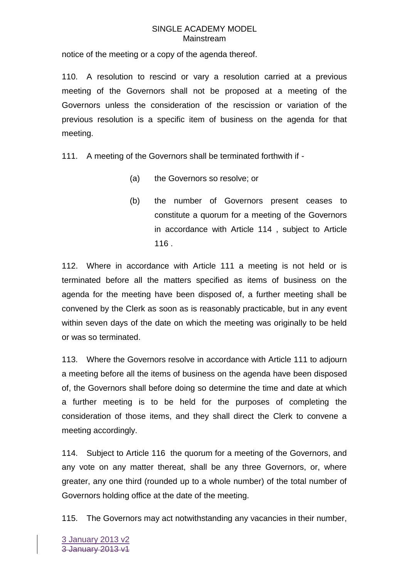notice of the meeting or a copy of the agenda thereof.

110. A resolution to rescind or vary a resolution carried at a previous meeting of the Governors shall not be proposed at a meeting of the Governors unless the consideration of the rescission or variation of the previous resolution is a specific item of business on the agenda for that meeting.

111. A meeting of the Governors shall be terminated forthwith if -

- (a) the Governors so resolve; or
- (b) the number of Governors present ceases to constitute a quorum for a meeting of the Governors in accordance with Article 114 , subject to Article 116 .

112. Where in accordance with Article 111 a meeting is not held or is terminated before all the matters specified as items of business on the agenda for the meeting have been disposed of, a further meeting shall be convened by the Clerk as soon as is reasonably practicable, but in any event within seven days of the date on which the meeting was originally to be held or was so terminated.

113. Where the Governors resolve in accordance with Article 111 to adjourn a meeting before all the items of business on the agenda have been disposed of, the Governors shall before doing so determine the time and date at which a further meeting is to be held for the purposes of completing the consideration of those items, and they shall direct the Clerk to convene a meeting accordingly.

114. Subject to Article 116 the quorum for a meeting of the Governors, and any vote on any matter thereat, shall be any three Governors, or, where greater, any one third (rounded up to a whole number) of the total number of Governors holding office at the date of the meeting.

115. The Governors may act notwithstanding any vacancies in their number,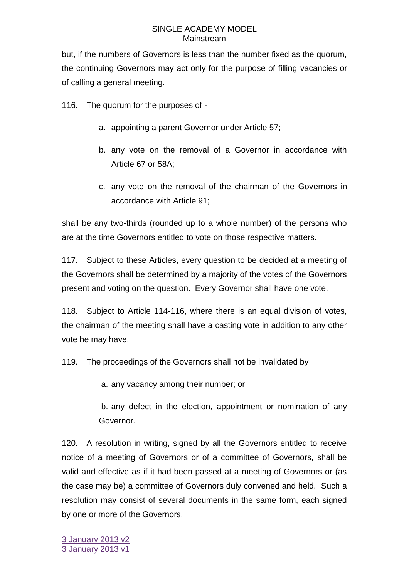but, if the numbers of Governors is less than the number fixed as the quorum, the continuing Governors may act only for the purpose of filling vacancies or of calling a general meeting.

116. The quorum for the purposes of -

- a. appointing a parent Governor under Article 57;
- b. any vote on the removal of a Governor in accordance with Article 67 or 58A;
- c. any vote on the removal of the chairman of the Governors in accordance with Article 91;

shall be any two-thirds (rounded up to a whole number) of the persons who are at the time Governors entitled to vote on those respective matters.

117. Subject to these Articles, every question to be decided at a meeting of the Governors shall be determined by a majority of the votes of the Governors present and voting on the question. Every Governor shall have one vote.

118. Subject to Article 114-116, where there is an equal division of votes, the chairman of the meeting shall have a casting vote in addition to any other vote he may have.

119. The proceedings of the Governors shall not be invalidated by

a. any vacancy among their number; or

b. any defect in the election, appointment or nomination of any Governor.

120. A resolution in writing, signed by all the Governors entitled to receive notice of a meeting of Governors or of a committee of Governors, shall be valid and effective as if it had been passed at a meeting of Governors or (as the case may be) a committee of Governors duly convened and held. Such a resolution may consist of several documents in the same form, each signed by one or more of the Governors.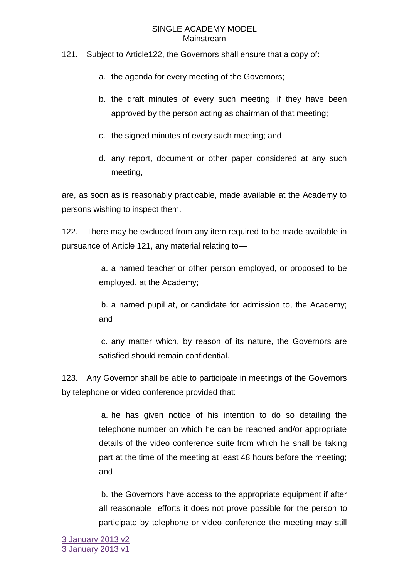### 121. Subject to Article122, the Governors shall ensure that a copy of:

- a. the agenda for every meeting of the Governors;
- b. the draft minutes of every such meeting, if they have been approved by the person acting as chairman of that meeting;
- c. the signed minutes of every such meeting; and
- d. any report, document or other paper considered at any such meeting,

are, as soon as is reasonably practicable, made available at the Academy to persons wishing to inspect them.

122. There may be excluded from any item required to be made available in pursuance of Article 121, any material relating to—

> a. a named teacher or other person employed, or proposed to be employed, at the Academy;

> b. a named pupil at, or candidate for admission to, the Academy; and

> c. any matter which, by reason of its nature, the Governors are satisfied should remain confidential.

123. Any Governor shall be able to participate in meetings of the Governors by telephone or video conference provided that:

> a. he has given notice of his intention to do so detailing the telephone number on which he can be reached and/or appropriate details of the video conference suite from which he shall be taking part at the time of the meeting at least 48 hours before the meeting; and

> b. the Governors have access to the appropriate equipment if after all reasonable efforts it does not prove possible for the person to participate by telephone or video conference the meeting may still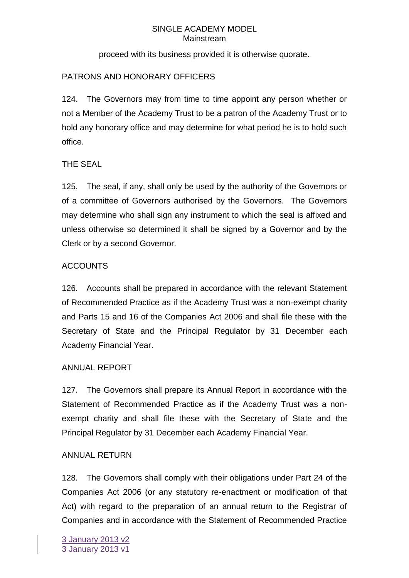proceed with its business provided it is otherwise quorate.

# PATRONS AND HONORARY OFFICERS

124. The Governors may from time to time appoint any person whether or not a Member of the Academy Trust to be a patron of the Academy Trust or to hold any honorary office and may determine for what period he is to hold such office.

# THE SEAL

125. The seal, if any, shall only be used by the authority of the Governors or of a committee of Governors authorised by the Governors. The Governors may determine who shall sign any instrument to which the seal is affixed and unless otherwise so determined it shall be signed by a Governor and by the Clerk or by a second Governor.

# ACCOUNTS

126. Accounts shall be prepared in accordance with the relevant Statement of Recommended Practice as if the Academy Trust was a non-exempt charity and Parts 15 and 16 of the Companies Act 2006 and shall file these with the Secretary of State and the Principal Regulator by 31 December each Academy Financial Year.

# ANNUAL REPORT

127. The Governors shall prepare its Annual Report in accordance with the Statement of Recommended Practice as if the Academy Trust was a nonexempt charity and shall file these with the Secretary of State and the Principal Regulator by 31 December each Academy Financial Year.

# ANNUAL RETURN

128. The Governors shall comply with their obligations under Part 24 of the Companies Act 2006 (or any statutory re-enactment or modification of that Act) with regard to the preparation of an annual return to the Registrar of Companies and in accordance with the Statement of Recommended Practice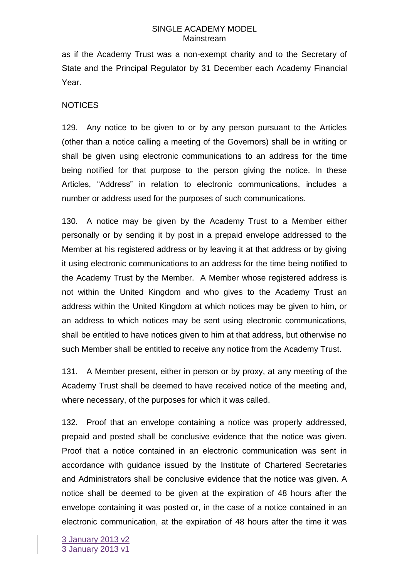as if the Academy Trust was a non-exempt charity and to the Secretary of State and the Principal Regulator by 31 December each Academy Financial Year.

### **NOTICES**

129. Any notice to be given to or by any person pursuant to the Articles (other than a notice calling a meeting of the Governors) shall be in writing or shall be given using electronic communications to an address for the time being notified for that purpose to the person giving the notice. In these Articles, "Address" in relation to electronic communications, includes a number or address used for the purposes of such communications.

130. A notice may be given by the Academy Trust to a Member either personally or by sending it by post in a prepaid envelope addressed to the Member at his registered address or by leaving it at that address or by giving it using electronic communications to an address for the time being notified to the Academy Trust by the Member. A Member whose registered address is not within the United Kingdom and who gives to the Academy Trust an address within the United Kingdom at which notices may be given to him, or an address to which notices may be sent using electronic communications, shall be entitled to have notices given to him at that address, but otherwise no such Member shall be entitled to receive any notice from the Academy Trust.

131. A Member present, either in person or by proxy, at any meeting of the Academy Trust shall be deemed to have received notice of the meeting and, where necessary, of the purposes for which it was called.

132. Proof that an envelope containing a notice was properly addressed, prepaid and posted shall be conclusive evidence that the notice was given. Proof that a notice contained in an electronic communication was sent in accordance with guidance issued by the Institute of Chartered Secretaries and Administrators shall be conclusive evidence that the notice was given. A notice shall be deemed to be given at the expiration of 48 hours after the envelope containing it was posted or, in the case of a notice contained in an electronic communication, at the expiration of 48 hours after the time it was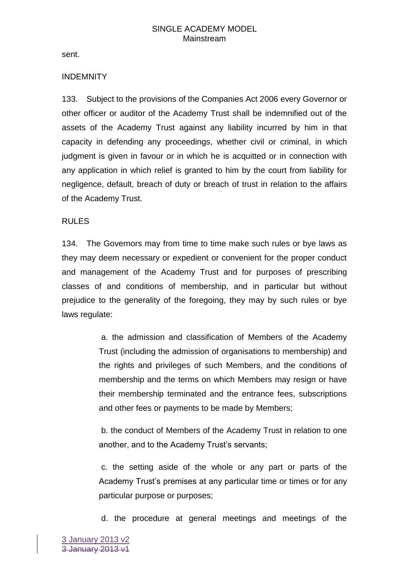sent.

### INDEMNITY

133. Subject to the provisions of the Companies Act 2006 every Governor or other officer or auditor of the Academy Trust shall be indemnified out of the assets of the Academy Trust against any liability incurred by him in that capacity in defending any proceedings, whether civil or criminal, in which judgment is given in favour or in which he is acquitted or in connection with any application in which relief is granted to him by the court from liability for negligence, default, breach of duty or breach of trust in relation to the affairs of the Academy Trust.

### RULES

134. The Governors may from time to time make such rules or bye laws as they may deem necessary or expedient or convenient for the proper conduct and management of the Academy Trust and for purposes of prescribing classes of and conditions of membership, and in particular but without prejudice to the generality of the foregoing, they may by such rules or bye laws regulate:

> a. the admission and classification of Members of the Academy Trust (including the admission of organisations to membership) and the rights and privileges of such Members, and the conditions of membership and the terms on which Members may resign or have their membership terminated and the entrance fees, subscriptions and other fees or payments to be made by Members;

> b. the conduct of Members of the Academy Trust in relation to one another, and to the Academy Trust's servants;

> c. the setting aside of the whole or any part or parts of the Academy Trust's premises at any particular time or times or for any particular purpose or purposes;

d. the procedure at general meetings and meetings of the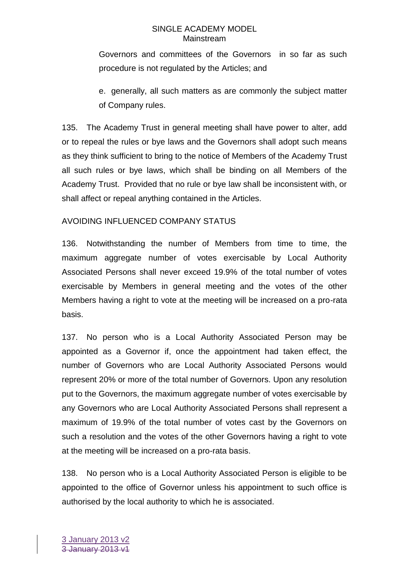Governors and committees of the Governors in so far as such procedure is not regulated by the Articles; and

e. generally, all such matters as are commonly the subject matter of Company rules.

135. The Academy Trust in general meeting shall have power to alter, add or to repeal the rules or bye laws and the Governors shall adopt such means as they think sufficient to bring to the notice of Members of the Academy Trust all such rules or bye laws, which shall be binding on all Members of the Academy Trust. Provided that no rule or bye law shall be inconsistent with, or shall affect or repeal anything contained in the Articles.

# AVOIDING INFLUENCED COMPANY STATUS

136. Notwithstanding the number of Members from time to time, the maximum aggregate number of votes exercisable by Local Authority Associated Persons shall never exceed 19.9% of the total number of votes exercisable by Members in general meeting and the votes of the other Members having a right to vote at the meeting will be increased on a pro-rata basis.

137. No person who is a Local Authority Associated Person may be appointed as a Governor if, once the appointment had taken effect, the number of Governors who are Local Authority Associated Persons would represent 20% or more of the total number of Governors. Upon any resolution put to the Governors, the maximum aggregate number of votes exercisable by any Governors who are Local Authority Associated Persons shall represent a maximum of 19.9% of the total number of votes cast by the Governors on such a resolution and the votes of the other Governors having a right to vote at the meeting will be increased on a pro-rata basis.

138. No person who is a Local Authority Associated Person is eligible to be appointed to the office of Governor unless his appointment to such office is authorised by the local authority to which he is associated.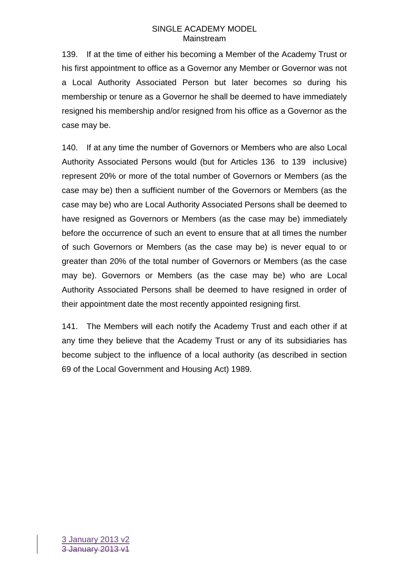139. If at the time of either his becoming a Member of the Academy Trust or his first appointment to office as a Governor any Member or Governor was not a Local Authority Associated Person but later becomes so during his membership or tenure as a Governor he shall be deemed to have immediately resigned his membership and/or resigned from his office as a Governor as the case may be.

140. If at any time the number of Governors or Members who are also Local Authority Associated Persons would (but for Articles 136 to 139 inclusive) represent 20% or more of the total number of Governors or Members (as the case may be) then a sufficient number of the Governors or Members (as the case may be) who are Local Authority Associated Persons shall be deemed to have resigned as Governors or Members (as the case may be) immediately before the occurrence of such an event to ensure that at all times the number of such Governors or Members (as the case may be) is never equal to or greater than 20% of the total number of Governors or Members (as the case may be). Governors or Members (as the case may be) who are Local Authority Associated Persons shall be deemed to have resigned in order of their appointment date the most recently appointed resigning first.

141. The Members will each notify the Academy Trust and each other if at any time they believe that the Academy Trust or any of its subsidiaries has become subject to the influence of a local authority (as described in section 69 of the Local Government and Housing Act) 1989.